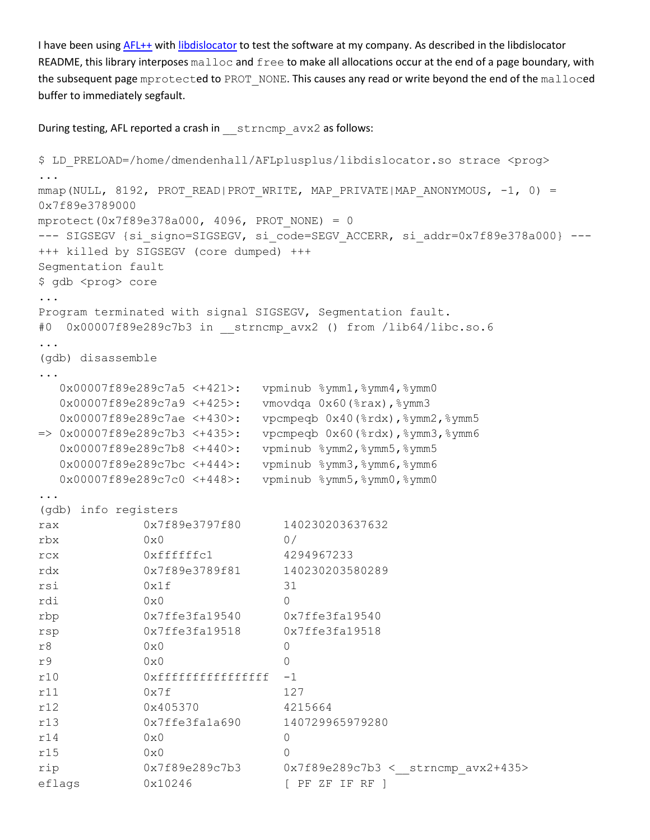I have been using [AFL++](https://github.com/AFLplusplus/AFLplusplus) with [libdislocator](https://github.com/AFLplusplus/AFLplusplus/blob/master/libdislocator/README.md) to test the software at my company. As described in the libdislocator README, this library interposes malloc and free to make all allocations occur at the end of a page boundary, with the subsequent page mprotected to PROT\_NONE. This causes any read or write beyond the end of the malloced buffer to immediately segfault.

During testing, AFL reported a crash in strncmp avx2 as follows:

```
$ LD_PRELOAD=/home/dmendenhall/AFLplusplus/libdislocator.so strace <prog>
...
mmap(NULL, 8192, PROT_READ|PROT_WRITE, MAP_PRIVATE|MAP_ANONYMOUS, -1, 0) =
0x7f89e3789000
mprotect(0x7f89e378a000, 4096, PROT_NONE) = 0
--- SIGSEGV {si signo=SIGSEGV, si code=SEGV ACCERR, si addr=0x7f89e378a000} ---
+++ killed by SIGSEGV (core dumped) +++
Segmentation fault
$ gdb <prog> core
...
Program terminated with signal SIGSEGV, Segmentation fault.
#0 0x00007f89e289c7b3 in __strncmp_avx2 () from /lib64/libc.so.6
...
(gdb) disassemble
...
   0x00007f89e289c7a5 <+421>: vpminub %ymm1,%ymm4,%ymm0
   0x00007f89e289c7a9 <+425>: vmovdqa 0x60(%rax),%ymm3
   0x00007f89e289c7ae <+430>: vpcmpeqb 0x40(%rdx),%ymm2,%ymm5
=> 0x00007f89e289c7b3 <+435>: vpcmpeqb 0x60(%rdx),%ymm3,%ymm6
  0x00007f89e289c7b8 <+440>: vpminub %ymm2,%ymm5,%ymm5
  0x00007f89e289c7bc <+444>: vpminub %ymm3,%ymm6,%ymm6
  0x00007f89e289c7c0 <+448>: vpminub %ymm5,%ymm0,%ymm0
...
(gdb) info registers
rax 0x7f89e3797f80 140230203637632
rbx 0x0 0/
rcx 0xffffffc1 4294967233
rdx 0x7f89e3789f81 140230203580289
rsi 0x1f 31
rdi 0x0 0
rbp 0x7ffe3fa19540 0x7ffe3fa19540
rsp 0x7ffe3fa19518 0x7ffe3fa19518
r8 0x0 0
r9 0x0 0
r10 0xffffffffffffffff -1
r11 0x7f 127
r12 0x405370 4215664
r13 0x7ffe3fa1a690 140729965979280
r14 0x0 0
r15 0x0 0
rip 0x7f89e289c7b3 0x7f89e289c7b3 <__strncmp_avx2+435>
eflags 0x10246 [ PF ZF IF RF ]
```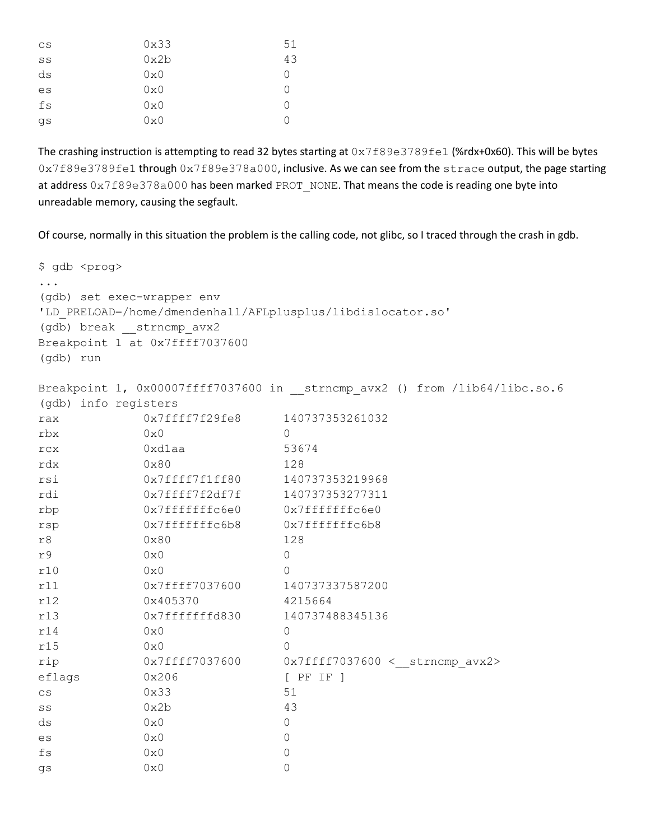| CS | 0x33 | 51 |
|----|------|----|
| SS | 0x2b | 43 |
| ds | 0x0  | Ω  |
| es | 0x0  | 0  |
| fs | 0x0  | Ω  |
| qs | 0x0  | ∩  |

The crashing instruction is attempting to read 32 bytes starting at  $0x7f89e3789fe1$  (%rdx+0x60). This will be bytes 0x7f89e3789fe1 through 0x7f89e378a000, inclusive. As we can see from the strace output, the page starting at address  $0x7f89e378a000$  has been marked PROT\_NONE. That means the code is reading one byte into unreadable memory, causing the segfault.

Of course, normally in this situation the problem is the calling code, not glibc, so I traced through the crash in gdb.

```
$ gdb <prog>
...
(gdb) set exec-wrapper env 
'LD_PRELOAD=/home/dmendenhall/AFLplusplus/libdislocator.so'
(gdb) break __strncmp_avx2
Breakpoint 1 at 0x7ffff7037600
(gdb) run
Breakpoint 1, 0x00007ffff7037600 in strncmp avx2 () from /lib64/libc.so.6
(gdb) info registers
rax 0x7ffff7f29fe8 140737353261032
rbx 0x0 0
rcx 0xd1aa 53674
rdx 0x80 128
rsi 0x7ffff7f1ff80 140737353219968
rdi 0x7ffff7f2df7f 140737353277311
rbp 0x7fffffffc6e0 0x7fffffffc6e0
rsp 0x7fffffffc6b8 0x7fffffffc6b8
r8 0x80 128
r9 0x0 0
r10 0x0 0
r11 0x7ffff7037600 140737337587200
r12 0x405370 4215664
r13 0x7fffffffd830 140737488345136
r14 0x0 0
r15 0x0 0
rip 0x7ffff7037600 0x7ffff7037600 < strncmp avx2>
eflags 0x206 [ PF IF ]
cs 0x33 51
ss 0x2b 43
ds 0x0 0
es 0x0 0x0
f s 0x0 0
gs 0x0 0x0
```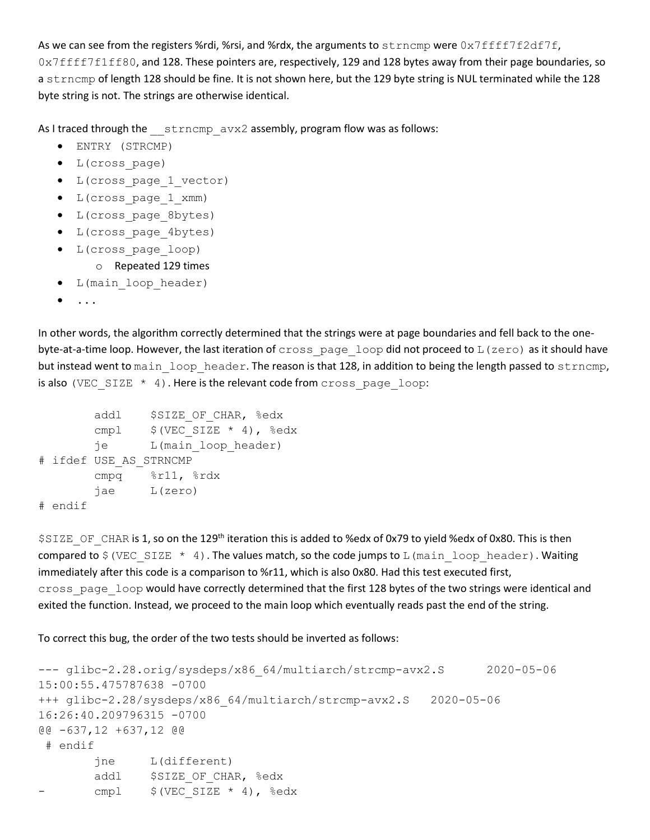As we can see from the registers %rdi, %rsi, and %rdx, the arguments to  $strump$  were  $0x7ffff7f2df7f$ , 0x7ffff7f1ff80, and 128. These pointers are, respectively, 129 and 128 bytes away from their page boundaries, so a strncmp of length 128 should be fine. It is not shown here, but the 129 byte string is NUL terminated while the 128 byte string is not. The strings are otherwise identical.

As I traced through the strncmp avx2 assembly, program flow was as follows:

- ENTRY (STRCMP)
- L(cross\_page)
- L(cross\_page\_1\_vector)
- L(cross\_page\_1\_xmm)
- L(cross\_page\_8bytes)
- L(cross\_page\_4bytes)
- L(cross\_page\_loop)
	- o Repeated 129 times
- L(main\_loop\_header)
- $\bullet$  ...

In other words, the algorithm correctly determined that the strings were at page boundaries and fell back to the onebyte-at-a-time loop. However, the last iteration of cross page loop did not proceed to L(zero) as it should have but instead went to main loop header. The reason is that 128, in addition to being the length passed to strncmp, is also (VEC SIZE  $*$  4). Here is the relevant code from cross page loop:

```
addl $SIZE OF CHAR, %edx
       cmpl $ (VEC\_SIZE * 4), %edxje L(main loop header)
# ifdef USE_AS_STRNCMP
       cmpq %r11, %rdx
        jae L(zero)
# endif
```
\$SIZE\_OF\_CHAR is 1, so on the 129<sup>th</sup> iteration this is added to %edx of 0x79 to yield %edx of 0x80. This is then compared to  $\frac{1}{2}$  (VEC SIZE  $*$  4). The values match, so the code jumps to L (main loop header). Waiting immediately after this code is a comparison to %r11, which is also 0x80. Had this test executed first, cross\_page\_loop would have correctly determined that the first 128 bytes of the two strings were identical and exited the function. Instead, we proceed to the main loop which eventually reads past the end of the string.

To correct this bug, the order of the two tests should be inverted as follows:

```
--- glibc-2.28.orig/sysdeps/x86_64/multiarch/strcmp-avx2.S 2020-05-06
15:00:55.475787638 -0700
+++ glibc-2.28/sysdeps/x86_64/multiarch/strcmp-avx2.S 2020-05-06 
16:26:40.209796315 -0700
@@ -637,12 +637,12 @@
 # endif
        jne L(different)
       addl $SIZE OF CHAR, %edx
       cmpl $(VEC~SIZE ~*~ 4), %edx
```